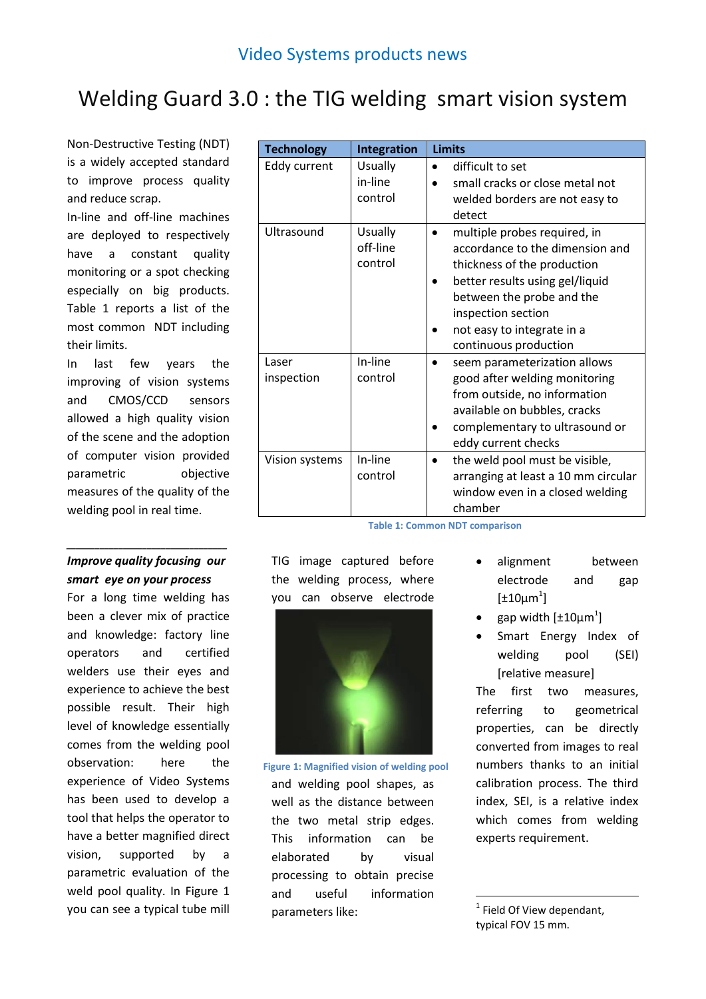## Welding Guard 3.0 : the TIG welding smart vision system

Non-Destructive Testing (NDT) is a widely accepted standard to improve process quality and reduce scrap.

In-line and off-line machines are deployed to respectively have a constant quality monitoring or a spot checking especially on big products. [Table 1](#page-0-0) reports a list of the most common NDT including their limits.

In last few years the improving of vision systems and CMOS/CCD sensors allowed a high quality vision of the scene and the adoption of computer vision provided parametric objective measures of the quality of the welding pool in real time.

## *Improve quality focusing our smart eye on your process*

*\_\_\_\_\_\_\_\_\_\_\_\_\_\_\_\_\_\_\_\_\_\_\_\_\_\_\_\_\_\_\_\_\_\_*

For a long time welding has been a clever mix of practice and knowledge: factory line operators and certified welders use their eyes and experience to achieve the best possible result. Their high level of knowledge essentially comes from the welding pool observation: here the experience of Video Systems has been used to develop a tool that helps the operator to have a better magnified direct vision, supported by a parametric evaluation of the weld pool quality. In [Figure 1](#page-0-1) you can see a typical tube mill

| <b>Technology</b>   | <b>Integration</b>                    | <b>Limits</b>                                                                                                                                                                                                                                            |
|---------------------|---------------------------------------|----------------------------------------------------------------------------------------------------------------------------------------------------------------------------------------------------------------------------------------------------------|
| Eddy current        | <b>Usually</b><br>in-line<br>control  | difficult to set<br>$\bullet$<br>small cracks or close metal not<br>welded borders are not easy to<br>detect                                                                                                                                             |
| Ultrasound          | <b>Usually</b><br>off-line<br>control | multiple probes required, in<br>$\bullet$<br>accordance to the dimension and<br>thickness of the production<br>better results using gel/liquid<br>between the probe and the<br>inspection section<br>not easy to integrate in a<br>continuous production |
| Laser<br>inspection | In-line<br>control                    | seem parameterization allows<br>good after welding monitoring<br>from outside, no information<br>available on bubbles, cracks<br>complementary to ultrasound or<br>eddy current checks                                                                   |
| Vision systems      | In-line<br>control                    | the weld pool must be visible,<br>٠<br>arranging at least a 10 mm circular<br>window even in a closed welding<br>chamber                                                                                                                                 |

<span id="page-0-0"></span>**Table 1: Common NDT comparison**

TIG image captured before the welding process, where you can observe electrode



<span id="page-0-1"></span>and welding pool shapes, as well as the distance between the two metal strip edges. This information can be elaborated by visual processing to obtain precise and useful information parameters like: **Figure 1: Magnified vision of welding pool**

- alignment between electrode and gap  $[\pm 10 \mu m^1]$
- gap width  $[\pm 10 \mu m^1]$
- Smart Energy Index of welding pool (SEI) [relative measure]

The first two measures, referring to geometrical properties, can be directly converted from images to real numbers thanks to an initial calibration process. The third index, SEI, is a relative index which comes from welding experts requirement.

 $1$  Field Of View dependant, typical FOV 15 mm.

1